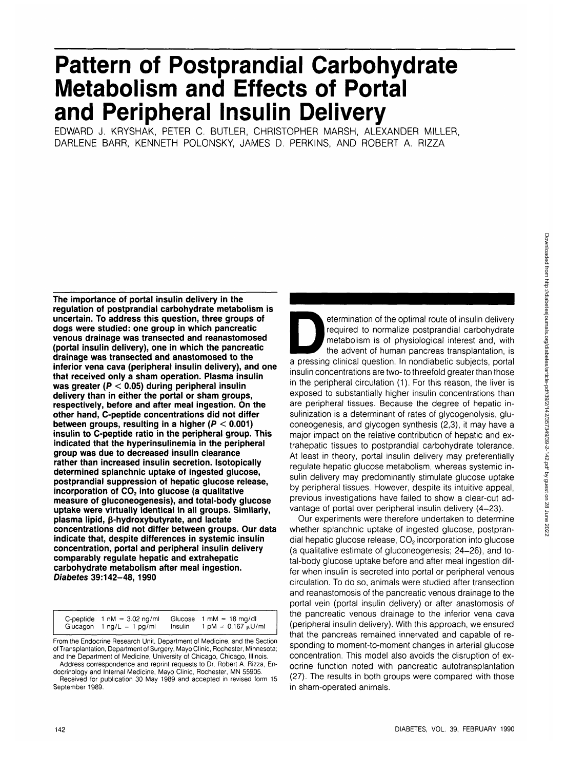# **Pattern of Postprandial Carbohydrate Metabolism and Effects of Portal and Peripheral Insulin Delivery**

EDWARD J. KRYSHAK, PETER C. BUTLER, CHRISTOPHER MARSH, ALEXANDER MILLER, DARLENE BARR, KENNETH POLONSKY, JAMES D. PERKINS, AND ROBERT A. RIZZA

**The importance of portal insulin delivery in the regulation of postprandial carbohydrate metabolism is uncertain. To address this question, three groups of dogs were studied: one group in which pancreatic venous drainage was transected and reanastomosed (portal insulin delivery), one in which the pancreatic drainage was transected and anastomosed to the inferior vena cava (peripheral insulin delivery), and one that received only a sham operation. Plasma insulin was greater (P < 0.05) during peripheral insulin delivery than in either the portal or sham groups, respectively, before and after meal ingestion. On the other hand, C-peptide concentrations did not differ between groups, resulting in a higher (P < 0.001) insulin to C-peptide ratio in the peripheral group. This indicated that the hyperinsulinemia in the peripheral group was due to decreased insulin clearance rather than increased insulin secretion. Isotopically determined splanchnic uptake of ingested glucose, postprandial suppression of hepatic glucose release,** incorporation of CO<sub>2</sub> into glucose (a qualitative **measure of gluconeogenesis), and total-body glucose uptake were virtually identical in all groups. Similarly, plasma lipid, p-hydroxybutyrate, and lactate concentrations did not differ between groups. Our data indicate that, despite differences in systemic insulin concentration, portal and peripheral insulin delivery comparably regulate hepatic and extrahepatic carbohydrate metabolism after meal ingestion. Diabetes 39:142-48,1990**

C-peptide 1 nM = 3.02 ng/ml Glucagon 1 ng/L = 1 pg/ml Glucose  $1 \text{ mM} = 18 \text{ mg/d}$ <br>Insulin  $1 \text{ pM} = 0.167 \text{ mJ}$  $1 \text{ pM} = 0.167 \text{ }\mu\text{U/m}$ 

From the Endocrine Research Unit, Department of Medicine, and the Section of Transplantation, Department of Surgery, Mayo Clinic, Rochester, Minnesota; and the Department of Medicine, University of Chicago, Chicago, Illinois.

Address correspondence and reprint requests to Dr. Robert A. Rizza, Endocrinology and Internal Medicine, Mayo Clinic, Rochester, MN 55905.

Received for publication 30 May 1989 and accepted in revised form 15 September 1989.

etermination of the optimal route of insulin delivery<br>required to normalize postprandial carbohydrate<br>metabolism is of physiological interest and, with<br>the advent of human pancreas transplantation, is<br>a pressing clinical q required to normalize postprandial carbohydrate metabolism is of physiological interest and, with the advent of human pancreas transplantation, is insulin concentrations are two- to threefold greater than those in the peripheral circulation (1). For this reason, the liver is exposed to substantially higher insulin concentrations than are peripheral tissues. Because the degree of hepatic insulinization is a determinant of rates of glycogenolysis, gluconeogenesis, and glycogen synthesis (2,3), it may have a major impact on the relative contribution of hepatic and extrahepatic tissues to postprandial carbohydrate tolerance. At least in theory, portal insulin delivery may preferentially regulate hepatic glucose metabolism, whereas systemic insulin delivery may predominantly stimulate glucose uptake by peripheral tissues. However, despite its intuitive appeal, previous investigations have failed to show a clear-cut advantage of portal over peripheral insulin delivery (4-23).

Our experiments were therefore undertaken to determine whether splanchnic uptake of ingested glucose, postprandial hepatic glucose release,  $CO<sub>2</sub>$  incorporation into glucose (a qualitative estimate of gluconeogenesis; 24-26), and total-body glucose uptake before and after meal ingestion differ when insulin is secreted into portal or peripheral venous circulation. To do so, animals were studied after transection and reanastomosis of the pancreatic venous drainage to the portal vein (portal insulin delivery) or after anastomosis of the pancreatic venous drainage to the inferior vena cava (peripheral insulin delivery). With this approach, we ensured that the pancreas remained innervated and capable of responding to moment-to-moment changes in arterial glucose concentration. This model also avoids the disruption of exocrine function noted with pancreatic autotransplantation (27). The results in both groups were compared with those in sham-operated animals.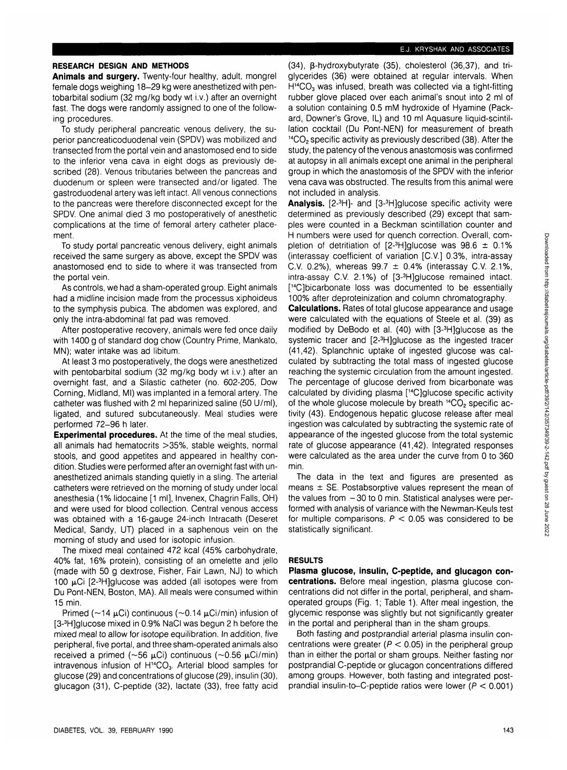## E.J. KRYSHAK AND ASSOCIATES

## **RESEARCH DESIGN AND METHODS**

**Animals and surgery.** Twenty-four healthy, adult, mongrel female dogs weighing 18-29 kg were anesthetized with pentobarbital sodium (32 mg/kg body wt i.v.) after an overnight fast. The dogs were randomly assigned to one of the following procedures.

To study peripheral pancreatic venous delivery, the superior pancreaticoduodenal vein (SPDV) was mobilized and transected from the portal vein and anastomosed end to side to the inferior vena cava in eight dogs as previously described (28). Venous tributaries between the pancreas and duodenum or spleen were transected and/or ligated. The gastroduodenal artery was left intact. All venous connections to the pancreas were therefore disconnected except for the SPDV. One animal died 3 mo postoperatively of anesthetic complications at the time of femoral artery catheter placement.

To study portal pancreatic venous delivery, eight animals received the same surgery as above, except the SPDV was anastomosed end to side to where it was transected from the portal vein.

As controls, we had a sham-operated group. Eight animals had a midline incision made from the processus xiphoideus to the symphysis pubica. The abdomen was explored, and only the intra-abdominal fat pad was removed.

After postoperative recovery, animals were fed once daily with 1400 g of standard dog chow (Country Prime, Mankato, MN); water intake was ad libitum.

At least 3 mo postoperatively, the dogs were anesthetized with pentobarbital sodium (32 mg/kg body wt i.v.) after an overnight fast, and a Silastic catheter (no. 602-205, Dow Corning, Midland, Ml) was implanted in a femoral artery. The catheter was flushed with 2 ml heparinized saline (50 U/ml), ligated, and sutured subcutaneously. Meal studies were performed 72-96 h later.

**Experimental procedures.** At the time of the meal studies, all animals had hematocrits >35%, stable weights, normal stools, and good appetites and appeared in healthy condition. Studies were performed after an overnight fast with unanesthetized animals standing quietly in a sling. The arterial catheters were retrieved on the morning of study under local anesthesia (1% lidocaine [1 ml], Invenex, Chagrin Falls, OH) and were used for blood collection. Central venous access was obtained with a 16-gauge 24-inch Intracath (Deseret Medical, Sandy, UT) placed in a saphenous vein on the morning of study and used for isotopic infusion.

The mixed meal contained 472 kcal (45% carbohydrate, 40% fat, 16% protein), consisting of an omelette and jello (made with 50 g dextrose, Fisher, Fair Lawn, NJ) to which 100 µCi [2-<sup>3</sup>H]glucose was added (all isotopes were from Du Pont-NEN, Boston, MA). All meals were consumed within 15 min.

Primed ( $\sim$ 14 µCi) continuous ( $\sim$ 0.14 µCi/min) infusion of [3-<sup>3</sup> H]glucose mixed in 0.9% NaCI was begun 2 h before the mixed meal to allow for isotope equilibration. In addition, five peripheral, five portal, and three sham-operated animals also received a primed ( $\sim$ 56  $\mu$ Ci) continuous ( $\sim$ 0.56  $\mu$ Ci/min) intravenous infusion of H<sup>14</sup>CO<sub>3</sub>. Arterial blood samples for glucose (29) and concentrations of glucose (29), insulin (30), glucagon (31), C-peptide (32), lactate (33), free fatty acid

(34), B-hydroxybutyrate (35), cholesterol (36,37), and triglycerides (36) were obtained at regular intervals. When H<sup>14</sup>CO<sub>3</sub> was infused, breath was collected via a tight-fitting rubber glove placed over each animal's snout into 2 ml of a solution containing 0.5 mM hydroxide of Hyamine (Packard, Downer's Grove, IL) and 10 ml Aquasure liquid-scintillation cocktail (Du Pont-NEN) for measurement of breath 14CO2 specific activity as previously described (38). After the study, the patency of the venous anastomosis was confirmed at autopsy in all animals except one animal in the peripheral group in which the anastomosis of the SPDV with the inferior vena cava was obstructed. The results from this animal were not included in analysis.

Analysis. [2-<sup>3</sup>H]- and [3-<sup>3</sup>H]glucose specific activity were determined as previously described (29) except that samples were counted in a Beckman scintillation counter and H numbers were used for quench correction. Overall, completion of detritiation of  $[2-3H]$ glucose was  $98.6 \pm 0.1\%$ (interassay coefficient of variation [C.V.] 0.3%, intra-assay C.V. 0.2%), whereas  $99.7 \pm 0.4\%$  (interassay C.V. 2.1%, intra-assay C.V. 2.1%) of [3-<sup>3</sup> H]glucose remained intact. [ 14C]bicarbonate loss was documented to be essentially 100% after deproteinization and column chromatography.

**Calculations.** Rates of total glucose appearance and usage were calculated with the equations of Steele et al. (39) as modified by DeBodo et al. (40) with [3-<sup>3</sup> H]glucose as the systemic tracer and [2-<sup>3</sup>H]glucose as the ingested tracer (41,42). Splanchnic uptake of ingested glucose was calculated by subtracting the total mass of ingested glucose reaching the systemic circulation from the amount ingested. The percentage of glucose derived from bicarbonate was calculated by dividing plasma [14C]glucose specific activity of the whole glucose molecule by breath <sup>14</sup>CO<sub>2</sub> specific activity (43). Endogenous hepatic glucose release after meal ingestion was calculated by subtracting the systemic rate of appearance of the ingested glucose from the total systemic rate of glucose appearance (41,42). Integrated responses were calculated as the area under the curve from 0 to 360 min.

The data in the text and figures are presented as means  $\pm$  SE. Postabsorptive values represent the mean of the values from  $-30$  to 0 min. Statistical analyses were performed with analysis of variance with the Newman-Keuls test for multiple comparisons.  $P < 0.05$  was considered to be statistically significant.

## **RESULTS**

**Plasma glucose, insulin, C-peptide, and glucagon concentrations.** Before meal ingestion, plasma glucose concentrations did not differ in the portal, peripheral, and shamoperated groups (Fig. 1; Table 1). After meal ingestion, the glycemic response was slightly but not significantly greater in the portal and peripheral than in the sham groups.

Both fasting and postprandial arterial plasma insulin concentrations were greater ( $P < 0.05$ ) in the peripheral group than in either the portal or sham groups. Neither fasting nor postprandial C-peptide or glucagon concentrations differed among groups. However, both fasting and integrated postprandial insulin-to-C-peptide ratios were lower ( $P < 0.001$ )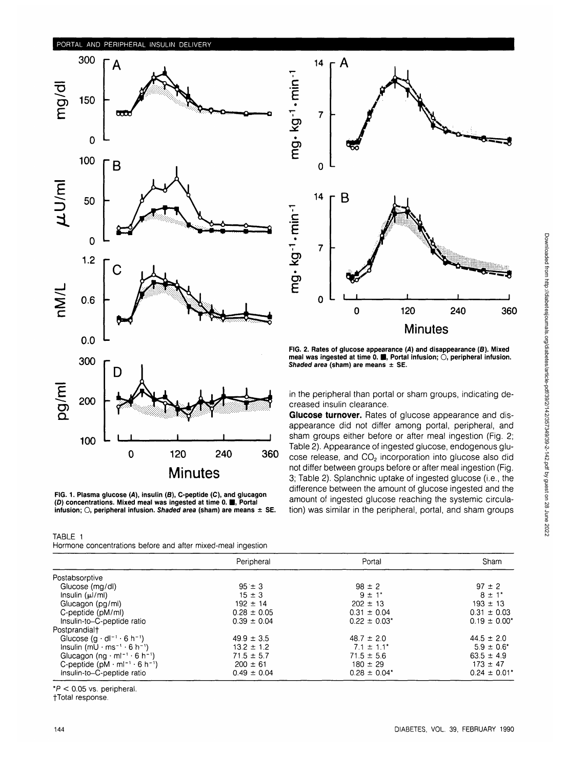## PORTAL AND PERIPHERAL INSULIN DELIVERY



**FIG. 1. Plasma glucose {A), insulin (S), C-peptide (C), and glucagon (D) concentrations. Mixed meal was ingested at time 0. <b>iii**, Portal **infusion; O, peripheral infusion. Shaded area (sham) are means** ± **SE.**

| TABLE 1 |                                                 |  |  |  |
|---------|-------------------------------------------------|--|--|--|
|         | Hormone concentrations before and after mixed-m |  |  |  |



**FIG. 2. Rates of glucose appearance (A) and disappearance (6). Mixed** meal was ingested at time 0. **.** Portal infusion;  $\bigcirc$ , peripheral infusion. **Shaded area (sham) are means ± SE.**

in the peripheral than portal or sham groups, indicating decreased insulin clearance.

**Glucose turnover.** Rates of glucose appearance and disappearance did not differ among portal, peripheral, and sham groups either before or after meal ingestion (Fig. 2; Table 2). Appearance of ingested glucose, endogenous glucose release, and CO<sub>2</sub> incorporation into glucose also did not differ between groups before or after meal ingestion (Fig. 3; Table 2). Splanchnic uptake of ingested glucose (i.e., the difference between the amount of glucose ingested and the amount of ingested glucose reaching the systemic circulation) was similar in the peripheral, portal, and sham groups

|                                                                                             | Peripheral      | Portal                       | Sham                         |
|---------------------------------------------------------------------------------------------|-----------------|------------------------------|------------------------------|
| Postabsorptive                                                                              |                 |                              |                              |
| Glucose (mg/dl)                                                                             | $95 \pm 3$      | $98 \pm 2$                   | $97 \pm 2$                   |
| Insulin $(\mu /m)$                                                                          | $15 \pm 3$      | $9 \pm 1$ *                  | $8 \pm 1$ <sup>*</sup>       |
| Glucagon (pg/ml)                                                                            | $192 \pm 14$    | $202 \pm 13$                 | $193 \pm 13$                 |
| C-peptide (pM/ml)                                                                           | $0.28 \pm 0.05$ | $0.31 \pm 0.04$              | $0.31 \pm 0.03$              |
| Insulin-to-C-peptide ratio                                                                  | $0.39 \pm 0.04$ | $0.22 \pm 0.03$ <sup>*</sup> | $0.19 \pm 0.00^*$            |
| Postprandial†                                                                               |                 |                              |                              |
| Glucose $(g \cdot dl^{-1} \cdot 6 h^{-1})$                                                  | $49.9 \pm 3.5$  | $48.7 \pm 2.0$               | $44.5 \pm 2.0$               |
| $insulin (mU·ms-1·6 h-1)$                                                                   | $13.2 \pm 1.2$  | $7.1 \pm 1.1^*$              | $5.9 \pm 0.6^*$              |
| Glucagon (ng $\cdot$ ml <sup><math>-1</math></sup> $\cdot$ 6 h <sup><math>-1</math></sup> ) | $71.5 \pm 5.7$  | $71.5 \pm 5.6$               | $63.5 \pm 4.9$               |
| C-peptide $(pM \cdot m!^{-1} \cdot 6 h^{-1})$                                               | $200 \pm 61$    | $180 \pm 29$                 | $173 \pm 47$                 |
| Insulin-to-C-peptide ratio                                                                  | $0.49 \pm 0.04$ | $0.28 \pm 0.04^*$            | $0.24 \pm 0.01$ <sup>*</sup> |

 $*P < 0.05$  vs. peripheral.

fTotal response.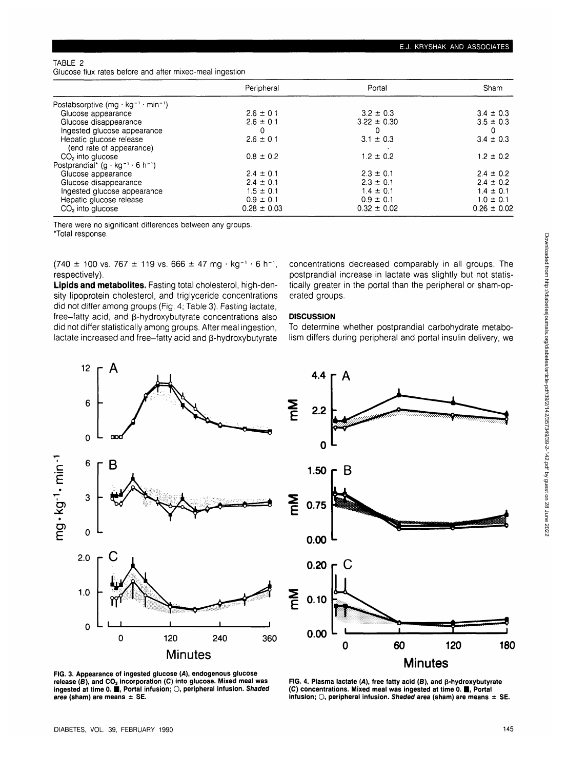## TABLE 2

Glucose flux rates before and after mixed-meal ingestion

|                                                    | Peripheral      | Portal          | Sham            |
|----------------------------------------------------|-----------------|-----------------|-----------------|
| Postabsorptive $(mg \cdot kg^{-1} \cdot min^{-1})$ |                 |                 |                 |
| Glucose appearance                                 | $2.6 \pm 0.1$   | $3.2 \pm 0.3$   | $3.4 \pm 0.3$   |
| Glucose disappearance                              | $2.6 \pm 0.1$   | $3.22 \pm 0.30$ | $3.5 \pm 0.3$   |
| Ingested glucose appearance                        | 0               | $\mathbf{0}$    |                 |
| Hepatic glucose release                            | $2.6 \pm 0.1$   | $3.1 \pm 0.3$   | $3.4 \pm 0.3$   |
| (end rate of appearance)                           |                 |                 |                 |
| $CO2$ into glucose                                 | $0.8 \pm 0.2$   | $1.2 \pm 0.2$   | $1.2 \pm 0.2$   |
| Postprandial* $(g \cdot kg^{-1} \cdot 6 h^{-1})$   |                 |                 |                 |
| Glucose appearance                                 | $2.4 \pm 0.1$   | $2.3 \pm 0.1$   | $2.4 \pm 0.2$   |
| Glucose disappearance                              | $2.4 \pm 0.1$   | $2.3 \pm 0.1$   | $2.4 \pm 0.2$   |
| Ingested glucose appearance                        | $1.5 \pm 0.1$   | $1.4 \pm 0.1$   | $1.4 \pm 0.1$   |
| Hepatic glucose release                            | $0.9 \pm 0.1$   | $0.9 \pm 0.1$   | $1.0 \pm 0.1$   |
| $CO2$ into glucose                                 | $0.28 \pm 0.03$ | $0.32 \pm 0.02$ | $0.26 \pm 0.02$ |

There were no significant differences between any groups.

\*Total response.

 $(740 \pm 100 \text{ vs. } 767 \pm 119 \text{ vs. } 666 \pm 47 \text{ mg} \cdot \text{ kg}^{-1} \cdot 6 \text{ h}^{-1})$ respectively).

Lipids and metabolites. Fasting total cholesterol, high-density lipoprotein cholesterol, and triglyceride concentrations did not differ among groups (Fig. 4; Table 3). Fasting lactate,  $free$ -fatty acid, and  $\beta$ -hydroxybutyrate concentrations also did not differ statistically among groups. After meal ingestion, lactate increased and free-fatty acid and p-hydroxybutyrate concentrations decreased comparably in all groups. The postprandial increase in lactate was slightly but not statistically greater in the portal than the peripheral or sham-operated groups.

## **DISCUSSION**

To determine whether postprandial carbohydrate metabolism differs during peripheral and portal insulin delivery, we





**FIG. 3. Appearance of ingested glucose {A), endogenous glucose** release (B), and CO<sub>2</sub> incorporation (C) into glucose. Mixed meal was **ingested at time 0. • , Portal infusion; O, peripheral infusion. Shaded area (sham) are means ± SE.**

FIG. 4. Plasma lactate (A), free fatty acid (B), and  $\beta$ -hydroxybutyrate **(C) concentrations. Mixed meal was ingested at time 0.1 , Portal infusion; O, peripheral infusion. Shaded area (sham) are means ± SE.**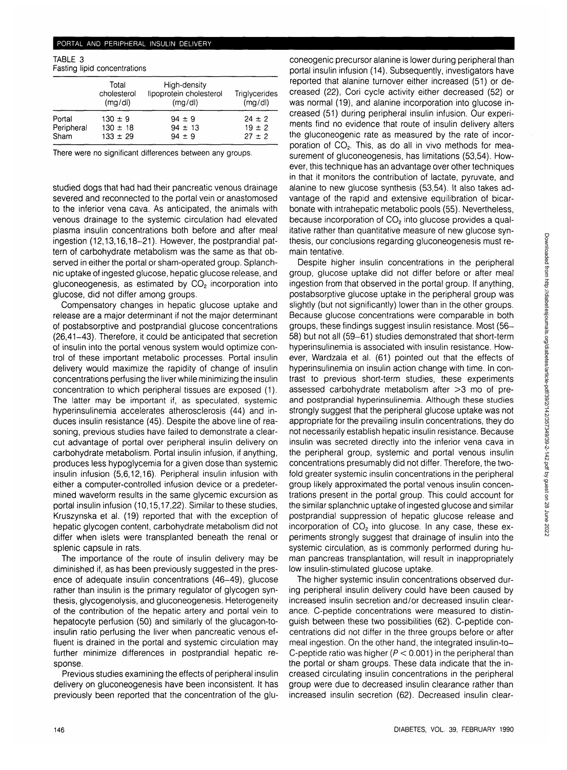#### PORTAL AND PERIPHERAL INSULIN DELIVERY

TABLE 3

| Fasting lipid concentrations |  |  |
|------------------------------|--|--|
|                              |  |  |

|            | Total<br>cholesterol<br>(mg/d) | High-density<br>lipoprotein cholesterol<br>(mq/d) | Triglycerides<br>(mg/d) |
|------------|--------------------------------|---------------------------------------------------|-------------------------|
| Portal     | $130 \pm 9$                    | $94 \pm 9$                                        | $24 \pm 2$              |
| Peripheral | $130 \pm 18$                   | $94 \pm 13$                                       | $19 \pm 2$              |
| Sham       | $133 \pm 29$                   | $94 \pm 9$                                        | $27 \pm 2$              |

There were no significant differences between any groups.

studied dogs that had had their pancreatic venous drainage severed and reconnected to the portal vein or anastomosed to the inferior vena cava. As anticipated, the animals with venous drainage to the systemic circulation had elevated plasma insulin concentrations both before and after meal ingestion (12,13,16,18-21). However, the postprandial pattern of carbohydrate metabolism was the same as that observed in either the portal or sham-operated group. Splanchnic uptake of ingested glucose, hepatic glucose release, and gluconeogenesis, as estimated by  $CO<sub>2</sub>$  incorporation into glucose, did not differ among groups.

Compensatory changes in hepatic glucose uptake and release are a major determinant if not the major determinant of postabsorptive and postprandial glucose concentrations (26,41-43). Therefore, it could be anticipated that secretion of insulin into the portal venous system would optimize control of these important metabolic processes. Portal insulin delivery would maximize the rapidity of change of insulin concentrations perfusing the liver while minimizing the insulin concentration to which peripheral tissues are exposed (1). The latter may be important if, as speculated, systemic hyperinsulinemia accelerates atherosclerosis (44) and induces insulin resistance (45). Despite the above line of reasoning, previous studies have failed to demonstrate a clearcut advantage of portal over peripheral insulin delivery on carbohydrate metabolism. Portal insulin infusion, if anything, produces less hypoglycemia for a given dose than systemic insulin infusion (5,6,12,16). Peripheral insulin infusion with either a computer-controlled infusion device or a predetermined waveform results in the same glycemic excursion as portal insulin infusion (10,15,17,22). Similar to these studies, Kruszynska et al. (19) reported that with the exception of hepatic glycogen content, carbohydrate metabolism did not differ when islets were transplanted beneath the renal or splenic capsule in rats.

The importance of the route of insulin delivery may be diminished if, as has been previously suggested in the presence of adequate insulin concentrations (46-49), glucose rather than insulin is the primary regulator of glycogen synthesis, glycogenolysis, and gluconeogenesis. Heterogeneity of the contribution of the hepatic artery and portal vein to hepatocyte perfusion (50) and similarly of the glucagon-toinsulin ratio perfusing the liver when pancreatic venous effluent is drained in the portal and systemic circulation may further minimize differences in postprandial hepatic response.

Previous studies examining the effects of peripheral insulin delivery on gluconeogenesis have been inconsistent. It has previously been reported that the concentration of the glu-

coneogenic precursor alanine is lower during peripheral than portal insulin infusion (14). Subsequently, investigators have reported that alanine turnover either increased (51) or decreased (22), Cori cycle activity either decreased (52) or was normal (19), and alanine incorporation into glucose increased (51) during peripheral insulin infusion. Our experiments find no evidence that route of insulin delivery alters the gluconeogenic rate as measured by the rate of incorporation of CO<sub>2</sub>. This, as do all in vivo methods for measurement of gluconeogenesis, has limitations (53,54). However, this technique has an advantage over other techniques in that it monitors the contribution of lactate, pyruvate, and alanine to new glucose synthesis (53,54). It also takes advantage of the rapid and extensive equilibration of bicarbonate with intrahepatic metabolic pools (55). Nevertheless, because incorporation of CO<sub>2</sub> into glucose provides a qualitative rather than quantitative measure of new glucose synthesis, our conclusions regarding gluconeogenesis must remain tentative.

Despite higher insulin concentrations in the peripheral group, glucose uptake did not differ before or after meal ingestion from that observed in the portal group. If anything, postabsorptive glucose uptake in the peripheral group was slightly (but not significantly) lower than in the other groups. Because glucose concentrations were comparable in both groups, these findings suggest insulin resistance. Most (56- 58) but not all (59-61) studies demonstrated that short-term hyperinsulinemia is associated with insulin resistance. However, Wardzala et al. (61) pointed out that the effects of hyperinsulinemia on insulin action change with time. In contrast to previous short-term studies, these experiments assessed carbohydrate metabolism after >3 mo of preand postprandial hyperinsulinemia. Although these studies strongly suggest that the peripheral glucose uptake was not appropriate for the prevailing insulin concentrations, they do not necessarily establish hepatic insulin resistance. Because insulin was secreted directly into the inferior vena cava in the peripheral group, systemic and portal venous insulin concentrations presumably did not differ. Therefore, the twofold greater systemic insulin concentrations in the peripheral group likely approximated the portal venous insulin concentrations present in the portal group. This could account for the similar splanchnic uptake of ingested glucose and similar postprandial suppression of hepatic glucose release and incorporation of CO<sub>2</sub> into glucose. In any case, these experiments strongly suggest that drainage of insulin into the systemic circulation, as is commonly performed during human pancreas transplantation, will result in inappropriately low insulin-stimulated glucose uptake.

The higher systemic insulin concentrations observed during peripheral insulin delivery could have been caused by increased insulin secretion and/or decreased insulin clearance. C-peptide concentrations were measured to distinguish between these two possibilities (62). C-peptide concentrations did not differ in the three groups before or after meal ingestion. On the other hand, the integrated insulin-to-C-peptide ratio was higher ( $P < 0.001$ ) in the peripheral than the portal or sham groups. These data indicate that the increased circulating insulin concentrations in the peripheral group were due to decreased insulin clearance rather than increased insulin secretion (62). Decreased insulin clear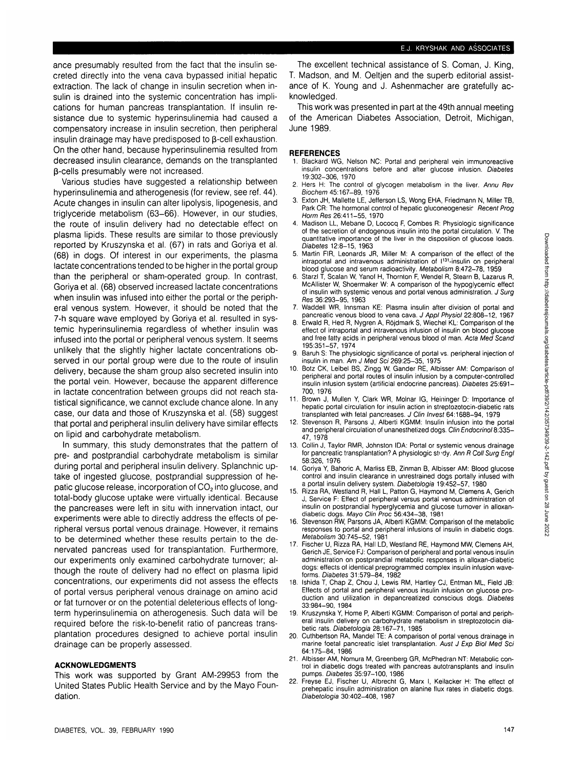ance presumably resulted from the fact that the insulin secreted directly into the vena cava bypassed initial hepatic extraction. The lack of change in insulin secretion when insulin is drained into the systemic concentration has implications for human pancreas transplantation. If insulin resistance due to systemic hyperinsulinemia had caused a compensatory increase in insulin secretion, then peripheral insulin drainage may have predisposed to  $\beta$ -cell exhaustion. On the other hand, because hyperinsulinemia resulted from decreased insulin clearance, demands on the transplanted p-cells presumably were not increased.

Various studies have suggested a relationship between hyperinsulinemia and atherogenesis (for review, see ref. 44). Acute changes in insulin can alter lipolysis, lipogenesis, and triglyceride metabolism (63-66). However, in our studies, the route of insulin delivery had no detectable effect on plasma lipids. These results are similar to those previously reported by Kruszynska et al. (67) in rats and Goriya et al. (68) in dogs. Of interest in our experiments, the plasma lactate concentrations tended to be higher in the portal group than the peripheral or sham-operated group. In contrast, Goriya et al. (68) observed increased lactate concentrations when insulin was infused into either the portal or the peripheral venous system. However, it should be noted that the 7-h square wave employed by Goriya et al. resulted in systemic hyperinsulinemia regardless of whether insulin was infused into the portal or peripheral venous system. It seems unlikely that the slightly higher lactate concentrations observed in our portal group were due to the route of insulin delivery, because the sham group also secreted insulin into the portal vein. However, because the apparent difference in lactate concentration between groups did not reach statistical significance, we cannot exclude chance alone. In any case, our data and those of Kruszynska et al. (58) suggest that portal and peripheral insulin delivery have similar effects on lipid and carbohydrate metabolism.

In summary, this study demonstrates that the pattern of pre- and postprandial carbohydrate metabolism is similar during portal and peripheral insulin delivery. Splanchnic uptake of ingested glucose, postprandial suppression of hepatic glucose release, incorporation of  $CO<sub>2</sub>$  into glucose, and total-body glucose uptake were virtually identical. Because the pancreases were left in situ with innervation intact, our experiments were able to directly address the effects of peripheral versus portal venous drainage. However, it remains to be determined whether these results pertain to the denervated pancreas used for transplantation. Furthermore, our experiments only examined carbohydrate turnover; although the route of delivery had no effect on plasma lipid concentrations, our experiments did not assess the effects of portal versus peripheral venous drainage on amino acid or fat turnover or on the potential deleterious effects of longterm hyperinsulinemia on atherogenesis. Such data will be required before the risk-to-benefit ratio of pancreas transplantation procedures designed to achieve portal insulin drainage can be properly assessed.

## **ACKNOWLEDGMENTS**

This work was supported by Grant AM-29953 from the United States Public Health Service and by the Mayo Foundation.

The excellent technical assistance of S. Coman, J. King, T. Madson, and M. Oeltjen and the superb editorial assistance of K. Young and J. Ashenmacher are gratefully acknowledged.

This work was presented in part at the 49th annual meeting of the American Diabetes Association, Detroit, Michigan, June 1989.

### **REFERENCES**

- 1. Blackard WG, Nelson NC: Portal and peripheral vein immunoreactive insulin concentrations before and after glucose infusion. Diabetes 19:302-306, 1970
- 2. Hers H: The control of glycogen metabolism in the liver. Annu Rev Biochem 45:167-89, 1976
- Exton JH, Mallette LE, Jefferson LS, Wong EHA, Friedmann N, Miller TB, Park CR: The hormonal control of hepatic gluconeogenesir Recent Prog Horm Res 26:411-55, 1970
- Madison LL, Mebane D, Lococq F, Combes R: Physiologic significance of the secretion of endogenous insulin into the portal circulation. V. The quantitative importance of the liver in the disposition of glucose loads. Diabetes 12:8-15, 1963
- 5. Martin FIR, Leonards JR, Miller M: A comparison of the effect of the intraportal and intravenous administration of  $1^{131}$ -insulin on peripheral blood glucose and serum radioactivity. Metabolism 8:472-78, 1959
- 6. Starzl T, Scalan W, Yanof H, Thornton F, Wendel R, Steam B, Lazarus R, McAllister W, Shoermaker W: A comparison of the hypoglycemic effect of insulin with systemic venous and portal venous administration. J Surg Res 36:293-95, 1963
- 7. Waddell WR, Innsman KE: Plasma insulin after division of portal and pancreatic venous blood to vena cava. J Appl Physiol 22:808-12, 1967
- 8. Erwald R, Hed R, Nygren A, Rojdmark S, Wiechel KL: Comparison of the effect of intraportal and intravenous infusion of insulin on blood glucose and free fatty acids in peripheral venous blood of man. Acta Med Scand 195:351-57, 1974
- 9. Baruh S: The physiologic significance of portal vs. peripheral injection of insulin in man. Am J Med Sci 269:25-35, 1975
- 10. Botz CK, Leibel BS, Zingg W, Gander RE, Albisser AM: Comparison of peripheral and portal routes of insulin infusion by a computer-controlled insulin infusion system (artificial endocrine pancreas). Diabetes 25:691- 700, 1976
- 11. Brown J, Mullen Y, Clark WR, Molnar IG, Heininger D: Importance of hepatic portal circulation for insulin action in streptozotocin-diabetic rats transplanted with fetal pancreases. J Clin Invest 64:1688-94, 1979
- 12. Stevenson R, Parsons J, Alberti KGMM: Insulin infusion into the portal and peripheral circulation of unanesthetized dogs. Clin Endocrinol 8:335- 47, 1978
- 13. Collin J, Taylor RMR, Johnston IDA: Portal or systemic venous drainage for pancreatic transplantation? A physiologic study. Ann R Coll Surg Engl 58:326, 1976
- 14. Goriya Y, Bahoric A, Marliss EB, Zinman B, Albisser AM: Blood glucose control and insulin clearance in unrestrained dogs portally infused with a portal insulin delivery system. *Diabetologia* 19:452–57, 1980
- 15. Rizza RA, Westland R, Hall L, Patton G, Haymond M, Clemens A, Gerich J, Service F: Effect of peripheral versus portal venous administration of insulin on postprandial hyperglycemia and glucose turnover in alloxandiabetic dogs. Mayo Clin Proc 56:434-38, 1981
- 16. Stevenson RW, Parsons JA, Alberti KGMM: Comparison of the metabolic responses to portal and peripheral infusions of insulin in diabetic dogs. Metabolism 30:745-52, 1981
- 17. Fischer U, Rizza RA, Hall LD, Westland RE, Haymond MW, Clemens AH, Gerich JE, Service FJ: Comparison of peripheral and portal venous insulin administration on postprandial metabolic responses in alloxan-diabetic dogs: effects of identical preprogrammed complex insulin infusion waveforms. Diabetes 31:579-84, 1982
- 18. Ishida T, Chap Z, Chou J, Lewis RM, Hartley CJ, Entman ML, Field JB: Effects of portal and peripheral venous insulin infusion on glucose production and utilization in depancreatized conscious dogs. Diabetes 33:984-90, 1984
- 19. Kruszynska Y, Home P, Alberti KGMM: Comparison of portal and peripheral insulin delivery on carbohydrate metabolism in streptozotocin diabetic rats. Diabetologia 28:167-71, 1985
- 20. Cuthbertson RA, Mandel TE: A comparison of portal venous drainage in marine foetal pancreatic islet transplantation. Aust J Exp Biol Med Sci 64:175-84, 1986
- 21. Albisser AM, Nomura M, Greenberg GR, McPhedran NT: Metabolic control in diabetic dogs treated with pancreas autotransplants and insulin pumps. Diabetes 35:97-100, 1986
- 22. Freyse EJ, Fischer U, Albrecht G, Marx I, Keilacker H: The effect of prehepatic insulin administration on alanine flux rates in diabetic dogs. Diabetologia 30:402-408, 1987